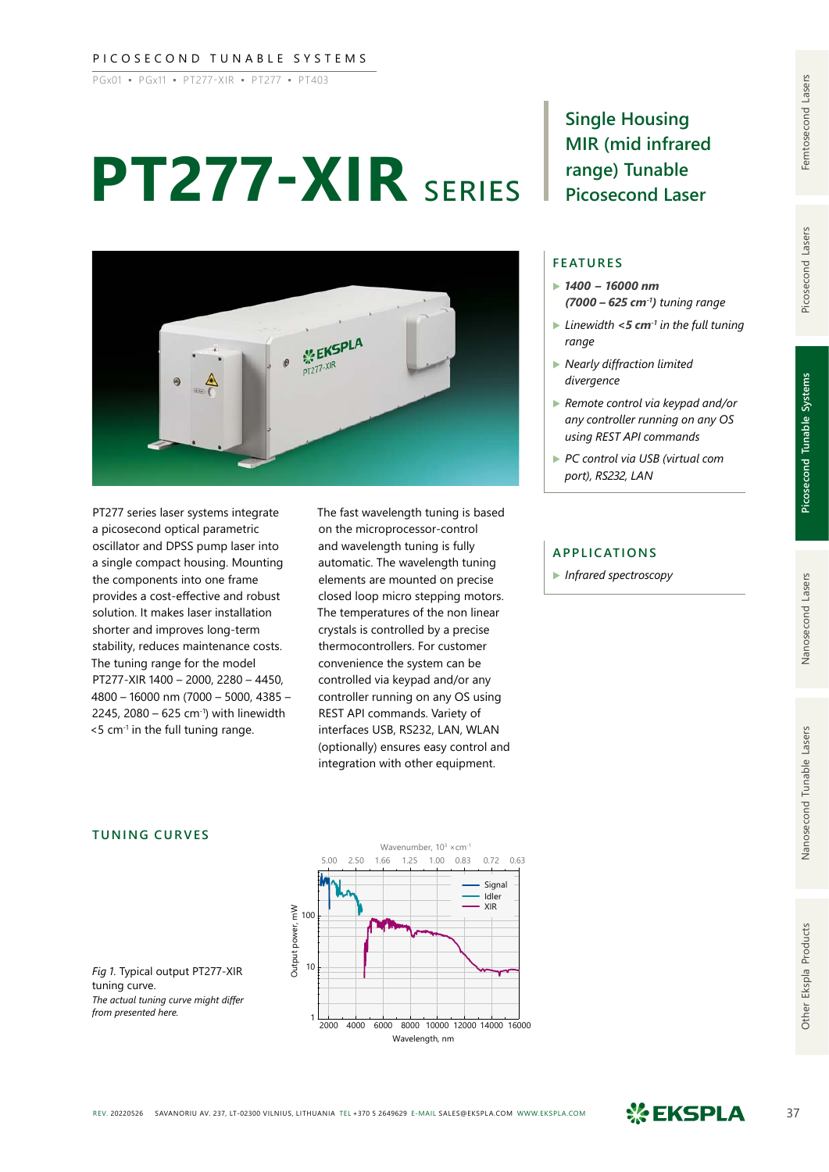#### PICOSECOND TUNABLE SYSTEMS

PGx01 ▪ PGx11 ▪ PT277-XIR ▪ PT277 ▪ PT403

# **PT277-XIR** series



PT277 series laser systems integrate a picosecond optical parametric oscillator and DPSS pump laser into a single compact housing. Mounting the components into one frame provides a cost-effective and robust solution. It makes laser installation shorter and improves long-term stability, reduces maintenance costs. The tuning range for the model PT277-XIR 1400 – 2000, 2280 – 4450, 4800 – 16000 nm (7000 – 5000, 4385 – 2245, 2080 – 625 cm<sup>-1</sup>) with linewidth  $<$  5 cm $<sup>-1</sup>$  in the full tuning range.</sup>

The fast wavelength tuning is based on the microprocessor-control and wavelength tuning is fully automatic. The wavelength tuning elements are mounted on precise closed loop micro stepping motors. The temperatures of the non linear crystals is controlled by a precise thermocontrollers. For customer convenience the system can be controlled via keypad and/or any controller running on any OS using REST API commands. Variety of interfaces USB, RS232, LAN, WLAN (optionally) ensures easy control and integration with other equipment.

**Single Housing MIR (mid infrared range) Tunable Picosecond Laser**

#### **FEATURES**

- ▶ *1400 – 16000 nm (7000 – 625 cm-1) tuning range*
- ▶ *Linewidth <5 cm-1 in the full tuning range*
- ▶ *Nearly diffraction limited divergence*
- ▶ *Remote control via keypad and/or any controller running on any OS using REST API commands*
- ▶ *PC control via USB (virtual com port), RS232, LAN*

### **APPLICATIONS**

▶ *Infrared spectroscopy*

Picosecond Lasers

## **TUNING CURVES**

5.00 2.50 1.66 1.25 1.00 0.83 0.72 0.63 Signal Idler XIR Output power, mW Output power, mW 100 10 1 2000 4000 6000 8000 10000 12000 14000 16000 Wavelength, nm

Wavenumber,  $10^3 \times$ cm<sup>-1</sup>

*Fig 1.* Typical output PT277-XIR tuning curve. *The actual tuning curve might differ from presented here.*